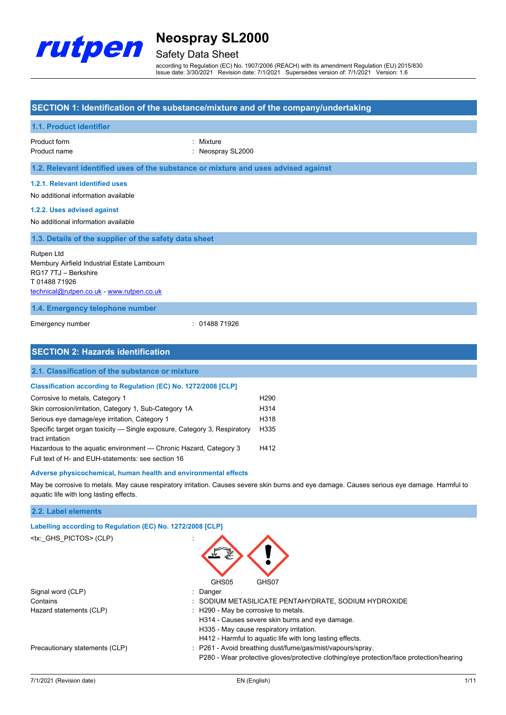

## Safety Data Sheet

according to Regulation (EC) No. 1907/2006 (REACH) with its amendment Regulation (EU) 2015/830 Issue date: 3/30/2021 Revision date: 7/1/2021 Supersedes version of: 7/1/2021 Version: 1.6

### **SECTION 1: Identification of the substance/mixture and of the company/undertaking**

| 1.1. Product identifier                                                                                                                       |                              |  |  |
|-----------------------------------------------------------------------------------------------------------------------------------------------|------------------------------|--|--|
| Product form<br>Product name                                                                                                                  | : Mixture<br>Neospray SL2000 |  |  |
| 1.2. Relevant identified uses of the substance or mixture and uses advised against                                                            |                              |  |  |
| 1.2.1. Relevant identified uses<br>No additional information available<br>1.2.2. Uses advised against                                         |                              |  |  |
| No additional information available                                                                                                           |                              |  |  |
| 1.3. Details of the supplier of the safety data sheet                                                                                         |                              |  |  |
| Rutpen Ltd<br>Membury Airfield Industrial Estate Lambourn<br>RG17 7TJ - Berkshire<br>T0148871926<br>technical@rutpen.co.uk - www.rutpen.co.uk |                              |  |  |
| 1.4. Emergency telephone number                                                                                                               |                              |  |  |
| Emergency number                                                                                                                              | : 0148871926                 |  |  |
| <b>SECTION 2: Hazards identification</b>                                                                                                      |                              |  |  |

## **2.1. Classification of the substance or mixture**

| <b>Classification according to Regulation (EC) No. 1272/2008 [CLP]</b> |                   |
|------------------------------------------------------------------------|-------------------|
| Corrosive to metals, Category 1                                        | H <sub>290</sub>  |
| Skin corrosion/irritation, Category 1, Sub-Category 1A                 | H <sub>3</sub> 14 |
| Serious eye damage/eye irritation, Category 1                          | H318              |

| Specific target organ toxicity — Single exposure, Category 3, Respiratory | H335 |
|---------------------------------------------------------------------------|------|
| tract irritation                                                          |      |
| Hazardous to the aquatic environment — Chronic Hazard, Category 3         | H412 |
|                                                                           |      |

Full text of H- and EUH-statements: see section 16

#### **Adverse physicochemical, human health and environmental effects**

May be corrosive to metals. May cause respiratory irritation. Causes severe skin burns and eye damage. Causes serious eye damage. Harmful to aquatic life with long lasting effects.

### **2.2. Label elements**

| Labelling according to Regulation (EC) No. 1272/2008 [CLP] |                                                                                          |
|------------------------------------------------------------|------------------------------------------------------------------------------------------|
| <tx: ghs="" pictos=""> (CLP)</tx:>                         | GHS05<br>GHS07                                                                           |
| Signal word (CLP)                                          | : Danger                                                                                 |
| Contains                                                   | : SODIUM METASILICATE PENTAHYDRATE, SODIUM HYDROXIDE                                     |
| Hazard statements (CLP)                                    | : H290 - May be corrosive to metals.                                                     |
|                                                            | H314 - Causes severe skin burns and eye damage.                                          |
|                                                            | H335 - May cause respiratory irritation.                                                 |
|                                                            | H412 - Harmful to aquatic life with long lasting effects.                                |
| Precautionary statements (CLP)                             | : P261 - Avoid breathing dust/fume/gas/mist/vapours/spray.                               |
|                                                            | P280 - Wear protective gloves/protective clothing/eye protection/face protection/hearing |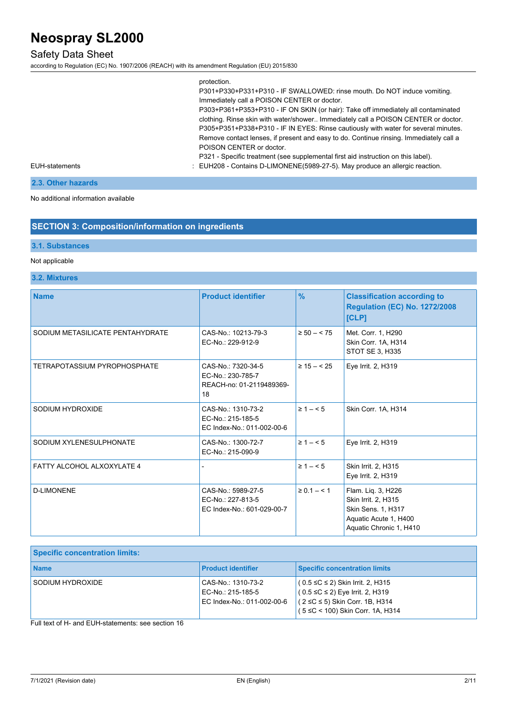## Safety Data Sheet

according to Regulation (EC) No. 1907/2006 (REACH) with its amendment Regulation (EU) 2015/830

| protection.                                                                            |
|----------------------------------------------------------------------------------------|
| P301+P330+P331+P310 - IF SWALLOWED: rinse mouth. Do NOT induce vomiting.               |
| Immediately call a POISON CENTER or doctor.                                            |
| P303+P361+P353+P310 - IF ON SKIN (or hair): Take off immediately all contaminated      |
| clothing. Rinse skin with water/shower Immediately call a POISON CENTER or doctor.     |
| P305+P351+P338+P310 - IF IN EYES: Rinse cautiously with water for several minutes.     |
| Remove contact lenses, if present and easy to do. Continue rinsing. Immediately call a |
| POISON CENTER or doctor.                                                               |
| P321 - Specific treatment (see supplemental first aid instruction on this label).      |
| : EUH208 - Contains D-LIMONENE(5989-27-5). May produce an allergic reaction.           |
|                                                                                        |

#### EUH-statements

**2.3. Other hazards**

#### No additional information available

### **SECTION 3: Composition/information on ingredients**

### **3.1. Substances**

### Not applicable

### **3.2. Mixtures**

| <b>Name</b>                       | <b>Product identifier</b>                                                 | $\frac{9}{6}$   | <b>Classification according to</b><br><b>Regulation (EC) No. 1272/2008</b><br>[CLP]                                 |
|-----------------------------------|---------------------------------------------------------------------------|-----------------|---------------------------------------------------------------------------------------------------------------------|
| SODIUM METASILICATE PENTAHYDRATE  | CAS-No.: 10213-79-3<br>EC-No.: 229-912-9                                  | $\geq 50 - 575$ | Met. Corr. 1, H290<br>Skin Corr. 1A, H314<br>STOT SE 3, H335                                                        |
| TETRAPOTASSIUM PYROPHOSPHATE      | CAS-No.: 7320-34-5<br>EC-No.: 230-785-7<br>REACH-no: 01-2119489369-<br>18 | $\geq 15 - 525$ | Eye Irrit. 2, H319                                                                                                  |
| SODIUM HYDROXIDE                  | CAS-No.: 1310-73-2<br>EC-No.: 215-185-5<br>EC Index-No.: 011-002-00-6     | $\geq 1 - 5$    | Skin Corr. 1A, H314                                                                                                 |
| SODIUM XYLENESULPHONATE           | CAS-No.: 1300-72-7<br>EC-No.: 215-090-9                                   | $\geq 1 - 5$    | Eye Irrit. 2, H319                                                                                                  |
| <b>FATTY ALCOHOL ALXOXYLATE 4</b> |                                                                           | $\geq 1 - 5$    | Skin Irrit. 2, H315<br>Eye Irrit. 2, H319                                                                           |
| <b>D-LIMONENE</b>                 | CAS-No.: 5989-27-5<br>EC-No.: 227-813-5<br>EC Index-No.: 601-029-00-7     | $\ge 0.1 - 5.1$ | Flam. Liq. 3, H226<br>Skin Irrit. 2, H315<br>Skin Sens. 1, H317<br>Aquatic Acute 1, H400<br>Aquatic Chronic 1, H410 |

| <b>Specific concentration limits:</b> |                                                                       |                                                                                                                                                          |
|---------------------------------------|-----------------------------------------------------------------------|----------------------------------------------------------------------------------------------------------------------------------------------------------|
| <b>Name</b>                           | <b>Product identifier</b>                                             | <b>Specific concentration limits</b>                                                                                                                     |
| SODIUM HYDROXIDE                      | CAS-No.: 1310-73-2<br>EC-No.: 215-185-5<br>EC Index-No.: 011-002-00-6 | $(0.5 ≤ C ≤ 2)$ Skin Irrit. 2, H315<br>$(0.5 ≤ C ≤ 2)$ Eye Irrit. 2, H319<br>$(2 \leq C \leq 5)$ Skin Corr. 1B, H314<br>(5 ≤C < 100) Skin Corr. 1A, H314 |

Full text of H- and EUH-statements: see section 16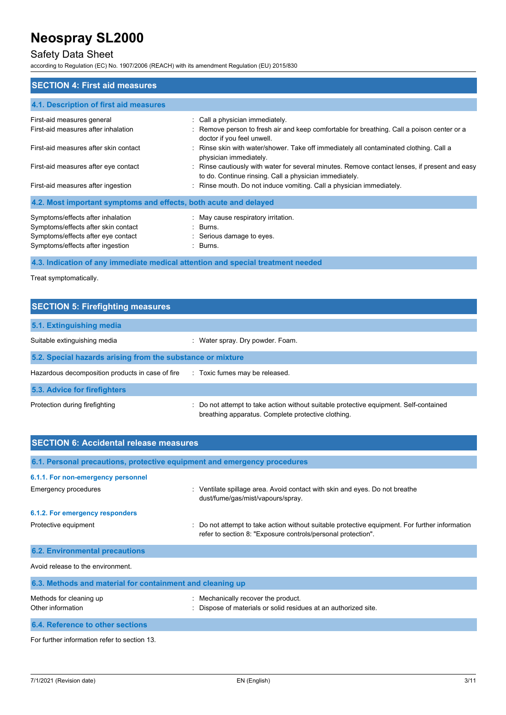## Safety Data Sheet

according to Regulation (EC) No. 1907/2006 (REACH) with its amendment Regulation (EU) 2015/830

| <b>SECTION 4: First aid measures</b>                                                                                                               |                                                                                                                                                             |  |  |
|----------------------------------------------------------------------------------------------------------------------------------------------------|-------------------------------------------------------------------------------------------------------------------------------------------------------------|--|--|
| 4.1. Description of first aid measures                                                                                                             |                                                                                                                                                             |  |  |
| First-aid measures general<br>First-aid measures after inhalation                                                                                  | : Call a physician immediately.<br>: Remove person to fresh air and keep comfortable for breathing. Call a poison center or a<br>doctor if you feel unwell. |  |  |
| First-aid measures after skin contact                                                                                                              | : Rinse skin with water/shower. Take off immediately all contaminated clothing. Call a<br>physician immediately.                                            |  |  |
| First-aid measures after eye contact                                                                                                               | : Rinse cautiously with water for several minutes. Remove contact lenses, if present and easy<br>to do. Continue rinsing. Call a physician immediately.     |  |  |
| First-aid measures after ingestion                                                                                                                 | : Rinse mouth. Do not induce vomiting. Call a physician immediately.                                                                                        |  |  |
| 4.2. Most important symptoms and effects, both acute and delayed                                                                                   |                                                                                                                                                             |  |  |
| Symptoms/effects after inhalation<br>Symptoms/effects after skin contact<br>Symptoms/effects after eye contact<br>Symptoms/effects after ingestion | : May cause respiratory irritation.<br>: Burns.<br>: Serious damage to eyes.<br>: Burns.                                                                    |  |  |

## **4.3. Indication of any immediate medical attention and special treatment needed**

Treat symptomatically.

## **SECTION 5: Firefighting measures**

| 5.1. Extinguishing media                                   |                                                                                                                                             |  |  |
|------------------------------------------------------------|---------------------------------------------------------------------------------------------------------------------------------------------|--|--|
| Suitable extinguishing media                               | : Water spray. Dry powder. Foam.                                                                                                            |  |  |
| 5.2. Special hazards arising from the substance or mixture |                                                                                                                                             |  |  |
| Hazardous decomposition products in case of fire           | : Toxic fumes may be released.                                                                                                              |  |  |
| 5.3. Advice for firefighters                               |                                                                                                                                             |  |  |
| Protection during firefighting                             | : Do not attempt to take action without suitable protective equipment. Self-contained<br>breathing apparatus. Complete protective clothing. |  |  |

| <b>SECTION 6: Accidental release measures</b>                            |                                                                                                                                                              |  |  |
|--------------------------------------------------------------------------|--------------------------------------------------------------------------------------------------------------------------------------------------------------|--|--|
| 6.1. Personal precautions, protective equipment and emergency procedures |                                                                                                                                                              |  |  |
| 6.1.1. For non-emergency personnel                                       |                                                                                                                                                              |  |  |
| <b>Emergency procedures</b>                                              | : Ventilate spillage area. Avoid contact with skin and eyes. Do not breathe<br>dust/fume/gas/mist/vapours/spray.                                             |  |  |
| 6.1.2. For emergency responders                                          |                                                                                                                                                              |  |  |
| Protective equipment                                                     | Do not attempt to take action without suitable protective equipment. For further information<br>refer to section 8: "Exposure controls/personal protection". |  |  |
| <b>6.2. Environmental precautions</b>                                    |                                                                                                                                                              |  |  |
| Avoid release to the environment.                                        |                                                                                                                                                              |  |  |
| 6.3. Methods and material for containment and cleaning up                |                                                                                                                                                              |  |  |
| Methods for cleaning up<br>Other information                             | Mechanically recover the product.<br>Dispose of materials or solid residues at an authorized site.                                                           |  |  |
| 6.4. Reference to other sections                                         |                                                                                                                                                              |  |  |

For further information refer to section 13.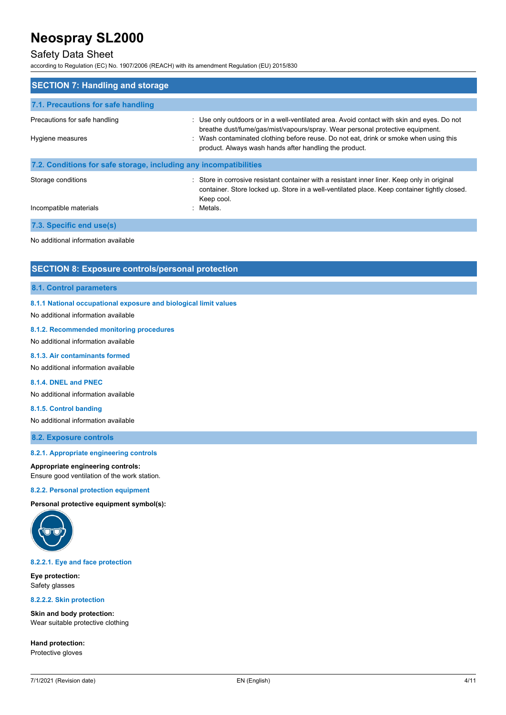## Safety Data Sheet

according to Regulation (EC) No. 1907/2006 (REACH) with its amendment Regulation (EU) 2015/830

| <b>SECTION 7: Handling and storage</b>                            |                                                                                                                                                                                                                                                                                                                                |  |  |
|-------------------------------------------------------------------|--------------------------------------------------------------------------------------------------------------------------------------------------------------------------------------------------------------------------------------------------------------------------------------------------------------------------------|--|--|
| 7.1. Precautions for safe handling                                |                                                                                                                                                                                                                                                                                                                                |  |  |
| Precautions for safe handling<br>Hygiene measures                 | : Use only outdoors or in a well-ventilated area. Avoid contact with skin and eyes. Do not<br>breathe dust/fume/gas/mist/vapours/spray. Wear personal protective equipment.<br>: Wash contaminated clothing before reuse. Do not eat, drink or smoke when using this<br>product. Always wash hands after handling the product. |  |  |
| 7.2. Conditions for safe storage, including any incompatibilities |                                                                                                                                                                                                                                                                                                                                |  |  |
| Storage conditions<br>Incompatible materials                      | : Store in corrosive resistant container with a resistant inner liner. Keep only in original<br>container. Store locked up. Store in a well-ventilated place. Keep container tightly closed.<br>Keep cool.<br>: Metals.                                                                                                        |  |  |
|                                                                   |                                                                                                                                                                                                                                                                                                                                |  |  |
| 7.3. Specific end use(s)                                          |                                                                                                                                                                                                                                                                                                                                |  |  |
| No additional information available                               |                                                                                                                                                                                                                                                                                                                                |  |  |

### **SECTION 8: Exposure controls/personal protection**

#### **8.1. Control parameters**

**8.1.1 National occupational exposure and biological limit values**

No additional information available

### **8.1.2. Recommended monitoring procedures**

No additional information available

#### **8.1.3. Air contaminants formed**

No additional information available

#### **8.1.4. DNEL and PNEC**

No additional information available

#### **8.1.5. Control banding**

No additional information available

**8.2. Exposure controls**

#### **8.2.1. Appropriate engineering controls**

#### **Appropriate engineering controls:**

Ensure good ventilation of the work station.

#### **8.2.2. Personal protection equipment**

**Personal protective equipment symbol(s):**



#### **8.2.2.1. Eye and face protection**

**Eye protection:** Safety glasses

#### **8.2.2.2. Skin protection**

**Skin and body protection:** Wear suitable protective clothing

**Hand protection:** Protective gloves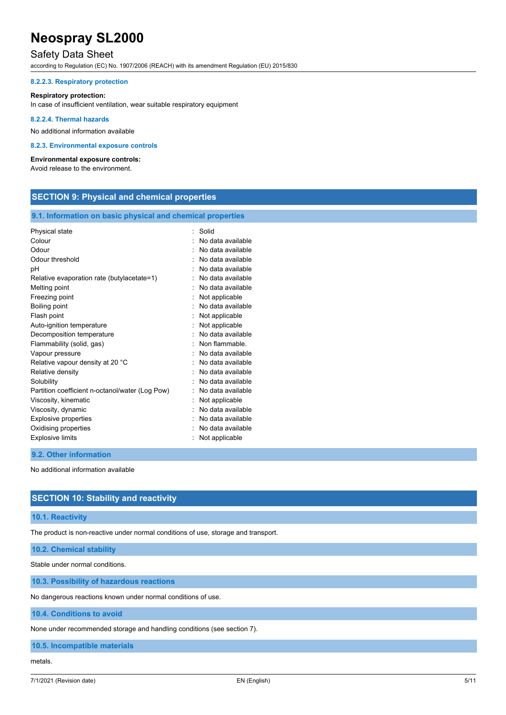## Safety Data Sheet

according to Regulation (EC) No. 1907/2006 (REACH) with its amendment Regulation (EU) 2015/830

#### **8.2.2.3. Respiratory protection**

#### **Respiratory protection:**

In case of insufficient ventilation, wear suitable respiratory equipment

#### **8.2.2.4. Thermal hazards**

No additional information available

#### **8.2.3. Environmental exposure controls**

#### **Environmental exposure controls:**

Avoid release to the environment.

## **SECTION 9: Physical and chemical properties**

#### **9.1. Information on basic physical and chemical properties**

| Physical state                                  | Solid             |
|-------------------------------------------------|-------------------|
| Colour                                          | No data available |
| Odour                                           | No data available |
| Odour threshold                                 | No data available |
| рH                                              | No data available |
| Relative evaporation rate (butylacetate=1)      | No data available |
| Melting point                                   | No data available |
| Freezing point                                  | Not applicable    |
| Boiling point                                   | No data available |
| Flash point                                     | Not applicable    |
| Auto-ignition temperature                       | Not applicable    |
| Decomposition temperature                       | No data available |
| Flammability (solid, gas)                       | Non flammable     |
| Vapour pressure                                 | No data available |
| Relative vapour density at 20 °C                | No data available |
| Relative density                                | No data available |
| Solubility                                      | No data available |
| Partition coefficient n-octanol/water (Log Pow) | No data available |
| Viscosity, kinematic                            | Not applicable    |
| Viscosity, dynamic                              | No data available |
| Explosive properties                            | No data available |
| Oxidising properties                            | No data available |
| <b>Explosive limits</b>                         | Not applicable    |
|                                                 |                   |

### **9.2. Other information**

No additional information available

### **SECTION 10: Stability and reactivity**

#### **10.1. Reactivity**

The product is non-reactive under normal conditions of use, storage and transport.

**10.2. Chemical stability**

Stable under normal conditions.

#### **10.3. Possibility of hazardous reactions**

No dangerous reactions known under normal conditions of use.

**10.4. Conditions to avoid**

None under recommended storage and handling conditions (see section 7).

**10.5. Incompatible materials**

#### metals.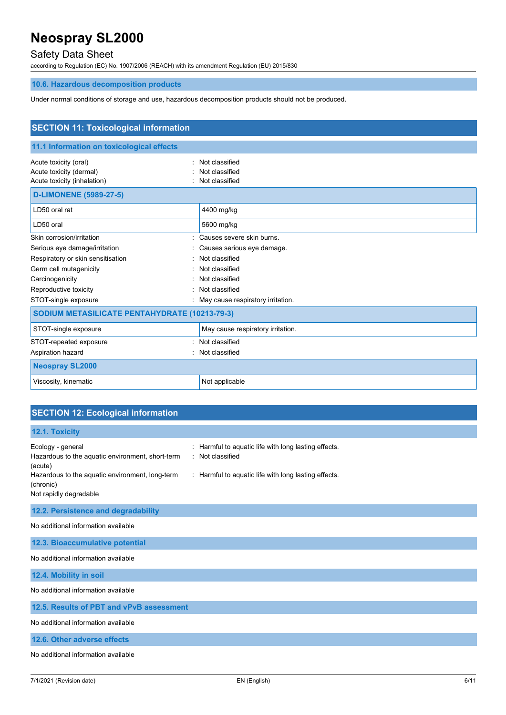## Safety Data Sheet

according to Regulation (EC) No. 1907/2006 (REACH) with its amendment Regulation (EU) 2015/830

## **10.6. Hazardous decomposition products**

Under normal conditions of storage and use, hazardous decomposition products should not be produced.

| <b>SECTION 11: Toxicological information</b>                                    |                                                    |  |
|---------------------------------------------------------------------------------|----------------------------------------------------|--|
| 11.1 Information on toxicological effects                                       |                                                    |  |
| Acute toxicity (oral)<br>Acute toxicity (dermal)<br>Acute toxicity (inhalation) | Not classified<br>Not classified<br>Not classified |  |
| <b>D-LIMONENE (5989-27-5)</b>                                                   |                                                    |  |
| LD50 oral rat                                                                   | 4400 mg/kg                                         |  |
| LD50 oral                                                                       | 5600 mg/kg                                         |  |
| Skin corrosion/irritation                                                       | Causes severe skin burns.                          |  |
| Serious eye damage/irritation                                                   | Causes serious eye damage.                         |  |
| Respiratory or skin sensitisation                                               | Not classified                                     |  |
| Germ cell mutagenicity                                                          | Not classified                                     |  |
| Carcinogenicity                                                                 | Not classified                                     |  |
| Reproductive toxicity                                                           | Not classified                                     |  |
| STOT-single exposure                                                            | May cause respiratory irritation.                  |  |
| SODIUM METASILICATE PENTAHYDRATE (10213-79-3)                                   |                                                    |  |
| STOT-single exposure                                                            | May cause respiratory irritation.                  |  |
| STOT-repeated exposure                                                          | Not classified                                     |  |
| Aspiration hazard                                                               | Not classified                                     |  |
| <b>Neospray SL2000</b>                                                          |                                                    |  |
| Viscosity, kinematic                                                            | Not applicable                                     |  |

## **SECTION 12: Ecological information**

| 12.1. Toxicity                                                                                                                                                                                                                                                                           |  |  |
|------------------------------------------------------------------------------------------------------------------------------------------------------------------------------------------------------------------------------------------------------------------------------------------|--|--|
| Harmful to aquatic life with long lasting effects.<br>Ecology - general<br>÷.<br>: Not classified<br>Hazardous to the aquatic environment, short-term<br>(acute)<br>Hazardous to the aquatic environment, long-term<br>: Harmful to aquatic life with long lasting effects.<br>(chronic) |  |  |
| Not rapidly degradable                                                                                                                                                                                                                                                                   |  |  |
| 12.2. Persistence and degradability                                                                                                                                                                                                                                                      |  |  |
| No additional information available                                                                                                                                                                                                                                                      |  |  |
| 12.3. Bioaccumulative potential                                                                                                                                                                                                                                                          |  |  |
| No additional information available                                                                                                                                                                                                                                                      |  |  |
| 12.4. Mobility in soil                                                                                                                                                                                                                                                                   |  |  |
| No additional information available                                                                                                                                                                                                                                                      |  |  |
| 12.5. Results of PBT and vPvB assessment                                                                                                                                                                                                                                                 |  |  |
| No additional information available                                                                                                                                                                                                                                                      |  |  |
| 12.6. Other adverse effects                                                                                                                                                                                                                                                              |  |  |
| No additional information available                                                                                                                                                                                                                                                      |  |  |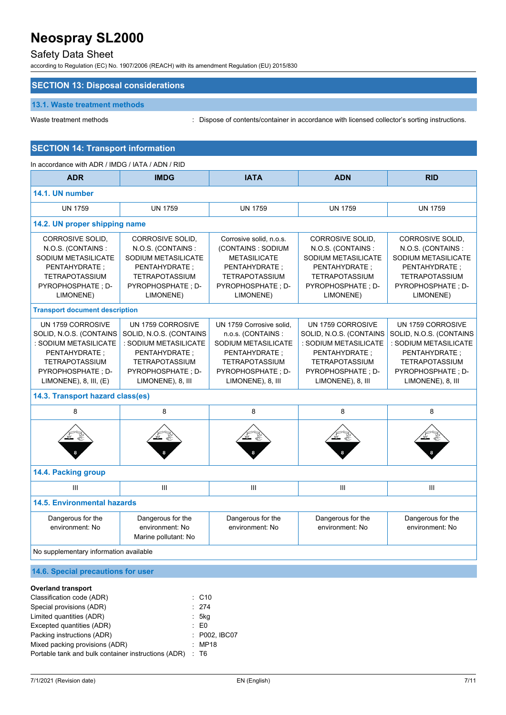## Safety Data Sheet

according to Regulation (EC) No. 1907/2006 (REACH) with its amendment Regulation (EU) 2015/830

### **SECTION 13: Disposal considerations**

### **13.1. Waste treatment methods**

Waste treatment methods : Dispose of contents/container in accordance with licensed collector's sorting instructions.

## **SECTION 14: Transport information**

| In accordance with ADR / IMDG / IATA / ADN / RID                                                                                                                     |                                                                                                                                                            |                                                                                                                                                             |                                                                                                                                                             |                                                                                                                                                             |
|----------------------------------------------------------------------------------------------------------------------------------------------------------------------|------------------------------------------------------------------------------------------------------------------------------------------------------------|-------------------------------------------------------------------------------------------------------------------------------------------------------------|-------------------------------------------------------------------------------------------------------------------------------------------------------------|-------------------------------------------------------------------------------------------------------------------------------------------------------------|
| <b>ADR</b>                                                                                                                                                           | <b>IMDG</b>                                                                                                                                                | <b>IATA</b>                                                                                                                                                 | <b>ADN</b>                                                                                                                                                  | <b>RID</b>                                                                                                                                                  |
| 14.1. UN number                                                                                                                                                      |                                                                                                                                                            |                                                                                                                                                             |                                                                                                                                                             |                                                                                                                                                             |
| <b>UN 1759</b>                                                                                                                                                       | <b>UN 1759</b>                                                                                                                                             | <b>UN 1759</b>                                                                                                                                              | <b>UN 1759</b>                                                                                                                                              | <b>UN 1759</b>                                                                                                                                              |
| 14.2. UN proper shipping name                                                                                                                                        |                                                                                                                                                            |                                                                                                                                                             |                                                                                                                                                             |                                                                                                                                                             |
| CORROSIVE SOLID,<br>N.O.S. (CONTAINS:<br>SODIUM METASILICATE<br>PENTAHYDRATE ;<br><b>TETRAPOTASSIUM</b><br>PYROPHOSPHATE ; D-<br>LIMONENE)                           | CORROSIVE SOLID,<br>N.O.S. (CONTAINS:<br>SODIUM METASILICATE<br>PENTAHYDRATE ;<br><b>TETRAPOTASSIUM</b><br>PYROPHOSPHATE; D-<br>LIMONENE)                  | Corrosive solid, n.o.s.<br>(CONTAINS: SODIUM<br><b>METASILICATE</b><br>PENTAHYDRATE ;<br><b>TETRAPOTASSIUM</b><br>PYROPHOSPHATE ; D-<br>LIMONENE)           | CORROSIVE SOLID,<br>N.O.S. (CONTAINS:<br>SODIUM METASILICATE<br>PENTAHYDRATE ;<br><b>TETRAPOTASSIUM</b><br>PYROPHOSPHATE ; D-<br>LIMONENE)                  | <b>CORROSIVE SOLID.</b><br>N.O.S. (CONTAINS:<br>SODIUM METASILICATE<br>PENTAHYDRATE ;<br><b>TETRAPOTASSIUM</b><br>PYROPHOSPHATE; D-<br>LIMONENE)            |
| <b>Transport document description</b>                                                                                                                                |                                                                                                                                                            |                                                                                                                                                             |                                                                                                                                                             |                                                                                                                                                             |
| UN 1759 CORROSIVE<br>SOLID, N.O.S. (CONTAINS<br>: SODIUM METASILICATE<br>PENTAHYDRATE ;<br><b>TETRAPOTASSIUM</b><br>PYROPHOSPHATE ; D-<br>$LIMONENE$ , 8, III, $(E)$ | UN 1759 CORROSIVE<br>SOLID, N.O.S. (CONTAINS<br>: SODIUM METASILICATE<br>PENTAHYDRATE;<br><b>TETRAPOTASSIUM</b><br>PYROPHOSPHATE : D-<br>LIMONENE), 8, III | UN 1759 Corrosive solid.<br>n.o.s. (CONTAINS :<br>SODIUM METASILICATE<br>PENTAHYDRATE ;<br><b>TETRAPOTASSIUM</b><br>PYROPHOSPHATE ; D-<br>LIMONENE), 8, III | UN 1759 CORROSIVE<br>SOLID, N.O.S. (CONTAINS<br>: SODIUM METASILICATE<br>PENTAHYDRATE ;<br><b>TETRAPOTASSIUM</b><br>PYROPHOSPHATE ; D-<br>LIMONENE), 8, III | UN 1759 CORROSIVE<br>SOLID, N.O.S. (CONTAINS<br>: SODIUM METASILICATE<br>PENTAHYDRATE ;<br><b>TETRAPOTASSIUM</b><br>PYROPHOSPHATE ; D-<br>LIMONENE), 8, III |
| 14.3. Transport hazard class(es)                                                                                                                                     |                                                                                                                                                            |                                                                                                                                                             |                                                                                                                                                             |                                                                                                                                                             |
| 8                                                                                                                                                                    | 8                                                                                                                                                          | 8                                                                                                                                                           | 8                                                                                                                                                           | 8                                                                                                                                                           |
|                                                                                                                                                                      |                                                                                                                                                            |                                                                                                                                                             |                                                                                                                                                             |                                                                                                                                                             |
| 14.4. Packing group                                                                                                                                                  |                                                                                                                                                            |                                                                                                                                                             |                                                                                                                                                             |                                                                                                                                                             |
| III                                                                                                                                                                  | III                                                                                                                                                        | $\mathop{\rm III}\nolimits$                                                                                                                                 | III                                                                                                                                                         | Ш                                                                                                                                                           |
| <b>14.5. Environmental hazards</b>                                                                                                                                   |                                                                                                                                                            |                                                                                                                                                             |                                                                                                                                                             |                                                                                                                                                             |
| Dangerous for the<br>environment: No                                                                                                                                 | Dangerous for the<br>environment: No<br>Marine pollutant: No                                                                                               | Dangerous for the<br>environment: No                                                                                                                        | Dangerous for the<br>environment: No                                                                                                                        | Dangerous for the<br>environment: No                                                                                                                        |
| No supplementary information available                                                                                                                               |                                                                                                                                                            |                                                                                                                                                             |                                                                                                                                                             |                                                                                                                                                             |

## **14.6. Special precautions for user**

#### **Overland transport**

| Classification code (ADR)                           |  | $\therefore$ C10 |
|-----------------------------------------------------|--|------------------|
| Special provisions (ADR)                            |  | : 274            |
| Limited quantities (ADR)                            |  | .5kg             |
| Excepted quantities (ADR)                           |  | $\mathbf{E}$ EO  |
| Packing instructions (ADR)                          |  | : P002. IBC07    |
| Mixed packing provisions (ADR)                      |  | : MP18           |
| Portable tank and bulk container instructions (ADR) |  | : T6             |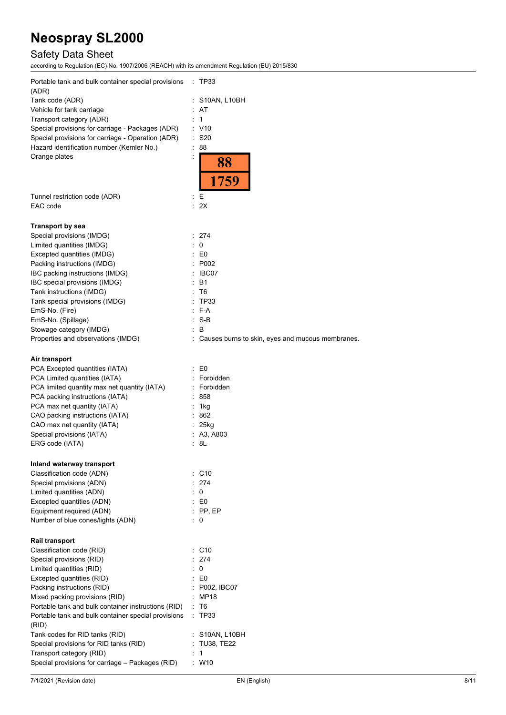## Safety Data Sheet

according to Regulation (EC) No. 1907/2006 (REACH) with its amendment Regulation (EU) 2015/830

| Portable tank and bulk container special provisions<br>(ADR)<br>Tank code (ADR)<br>Vehicle for tank carriage<br>Transport category (ADR)<br>Special provisions for carriage - Packages (ADR)<br>Special provisions for carriage - Operation (ADR)<br>Hazard identification number (Kemler No.)<br>Orange plates                                                                                                                                                                                                                                                                                                                                                                                | $\therefore$ TP33<br>: S10AN, L10BH<br>: AT<br>: 1<br>: V10<br>$\therefore$ S20<br>t.<br>88<br>t<br>88                                                                                                                                               |
|------------------------------------------------------------------------------------------------------------------------------------------------------------------------------------------------------------------------------------------------------------------------------------------------------------------------------------------------------------------------------------------------------------------------------------------------------------------------------------------------------------------------------------------------------------------------------------------------------------------------------------------------------------------------------------------------|------------------------------------------------------------------------------------------------------------------------------------------------------------------------------------------------------------------------------------------------------|
| Tunnel restriction code (ADR)<br>EAC code                                                                                                                                                                                                                                                                                                                                                                                                                                                                                                                                                                                                                                                      | Е<br>÷.<br>: 2X                                                                                                                                                                                                                                      |
| <b>Transport by sea</b><br>Special provisions (IMDG)<br>Limited quantities (IMDG)<br>Excepted quantities (IMDG)<br>Packing instructions (IMDG)<br>IBC packing instructions (IMDG)<br>IBC special provisions (IMDG)<br>Tank instructions (IMDG)<br>Tank special provisions (IMDG)<br>EmS-No. (Fire)<br>EmS-No. (Spillage)<br>Stowage category (IMDG)<br>Properties and observations (IMDG)<br>Air transport<br>PCA Excepted quantities (IATA)<br>PCA Limited quantities (IATA)<br>PCA limited quantity max net quantity (IATA)<br>PCA packing instructions (IATA)<br>PCA max net quantity (IATA)<br>CAO packing instructions (IATA)<br>CAO max net quantity (IATA)<br>Special provisions (IATA) | : 274<br>$\therefore$ 0<br>E0<br>P002<br>IBC07<br><b>B1</b><br>T6<br>TP33<br>$F-A$<br>$:$ S-B<br>B<br>: Causes burns to skin, eyes and mucous membranes.<br>$\mathbf{E}$ EO<br>: Forbidden<br>: Forbidden<br>858<br>1kg<br>862<br>25kg<br>: A3, A803 |
| ERG code (IATA)                                                                                                                                                                                                                                                                                                                                                                                                                                                                                                                                                                                                                                                                                | : 8L                                                                                                                                                                                                                                                 |
| Inland waterway transport<br>Classification code (ADN)<br>Special provisions (ADN)<br>Limited quantities (ADN)<br>Excepted quantities (ADN)<br>Equipment required (ADN)<br>Number of blue cones/lights (ADN)                                                                                                                                                                                                                                                                                                                                                                                                                                                                                   | $\therefore$ C10<br>: 274<br>0<br>÷.<br>E0<br>$:$ PP, EP<br>$\therefore$ 0                                                                                                                                                                           |
| <b>Rail transport</b><br>Classification code (RID)<br>Special provisions (RID)<br>Limited quantities (RID)<br>Excepted quantities (RID)<br>Packing instructions (RID)<br>Mixed packing provisions (RID)<br>Portable tank and bulk container instructions (RID)<br>Portable tank and bulk container special provisions<br>(RID)<br>Tank codes for RID tanks (RID)<br>Special provisions for RID tanks (RID)<br>Transport category (RID)<br>Special provisions for carriage - Packages (RID)                                                                                                                                                                                                     | $:$ C10<br>: 274<br>0<br>E0<br>P002, IBC07<br>: MP18<br>: T6<br>: TP33<br>: S10AN, L10BH<br>: TU38, TE22<br>: 1<br>: W10                                                                                                                             |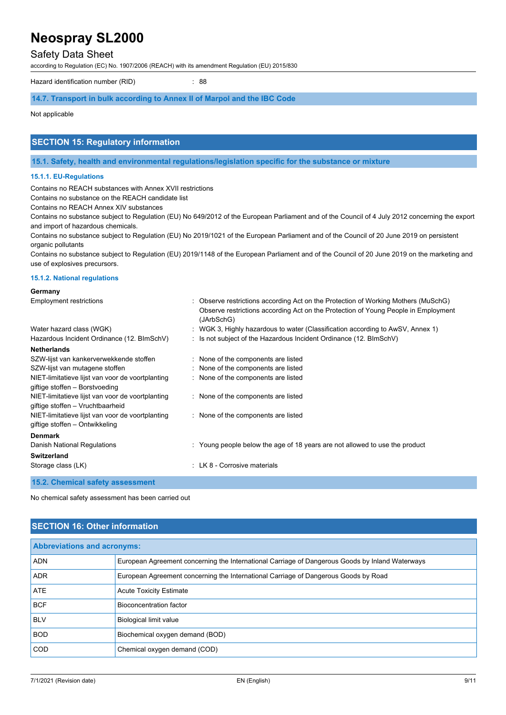## Safety Data Sheet

according to Regulation (EC) No. 1907/2006 (REACH) with its amendment Regulation (EU) 2015/830

Hazard identification number (RID) : 88

#### **14.7. Transport in bulk according to Annex II of Marpol and the IBC Code**

Not applicable

## **SECTION 15: Regulatory information**

**15.1. Safety, health and environmental regulations/legislation specific for the substance or mixture**

### **15.1.1. EU-Regulations**

Contains no REACH substances with Annex XVII restrictions

Contains no substance on the REACH candidate list

Contains no REACH Annex XIV substances

Contains no substance subject to Regulation (EU) No 649/2012 of the European Parliament and of the Council of 4 July 2012 concerning the export and import of hazardous chemicals.

Contains no substance subject to Regulation (EU) No 2019/1021 of the European Parliament and of the Council of 20 June 2019 on persistent organic pollutants

Contains no substance subject to Regulation (EU) 2019/1148 of the European Parliament and of the Council of 20 June 2019 on the marketing and use of explosives precursors.

#### **15.1.2. National regulations**

#### **Germany**

| <b>Employment restrictions</b>                                                       | : Observe restrictions according Act on the Protection of Working Mothers (MuSchG)<br>Observe restrictions according Act on the Protection of Young People in Employment<br>(JArbSchG) |
|--------------------------------------------------------------------------------------|----------------------------------------------------------------------------------------------------------------------------------------------------------------------------------------|
| Water hazard class (WGK)                                                             | : WGK 3, Highly hazardous to water (Classification according to AwSV, Annex 1)                                                                                                         |
| Hazardous Incident Ordinance (12. BImSchV)                                           | : Is not subject of the Hazardous Incident Ordinance (12. BImSchV)                                                                                                                     |
| <b>Netherlands</b>                                                                   |                                                                                                                                                                                        |
| SZW-lijst van kankerverwekkende stoffen                                              | : None of the components are listed                                                                                                                                                    |
| SZW-lijst van mutagene stoffen                                                       | : None of the components are listed                                                                                                                                                    |
| NIET-limitatieve lijst van voor de voortplanting                                     | : None of the components are listed                                                                                                                                                    |
| giftige stoffen - Borstvoeding                                                       |                                                                                                                                                                                        |
| NIET-limitatieve lijst van voor de voortplanting<br>giftige stoffen - Vruchtbaarheid | : None of the components are listed                                                                                                                                                    |
| NIET-limitatieve lijst van voor de voortplanting<br>giftige stoffen – Ontwikkeling   | : None of the components are listed                                                                                                                                                    |
|                                                                                      |                                                                                                                                                                                        |
| <b>Denmark</b>                                                                       |                                                                                                                                                                                        |
| Danish National Regulations                                                          | : Young people below the age of 18 years are not allowed to use the product                                                                                                            |
| <b>Switzerland</b>                                                                   |                                                                                                                                                                                        |
| Storage class (LK)                                                                   | : LK 8 - Corrosive materials                                                                                                                                                           |

**15.2. Chemical safety assessment**

No chemical safety assessment has been carried out

## **SECTION 16: Other information**

| <b>Abbreviations and acronyms:</b> |                                                                                                 |  |
|------------------------------------|-------------------------------------------------------------------------------------------------|--|
| <b>ADN</b>                         | European Agreement concerning the International Carriage of Dangerous Goods by Inland Waterways |  |
| <b>ADR</b>                         | European Agreement concerning the International Carriage of Dangerous Goods by Road             |  |
| ATE                                | <b>Acute Toxicity Estimate</b>                                                                  |  |
| <b>BCF</b>                         | Bioconcentration factor                                                                         |  |
| <b>BLV</b>                         | Biological limit value                                                                          |  |
| <b>BOD</b>                         | Biochemical oxygen demand (BOD)                                                                 |  |
| <b>COD</b>                         | Chemical oxygen demand (COD)                                                                    |  |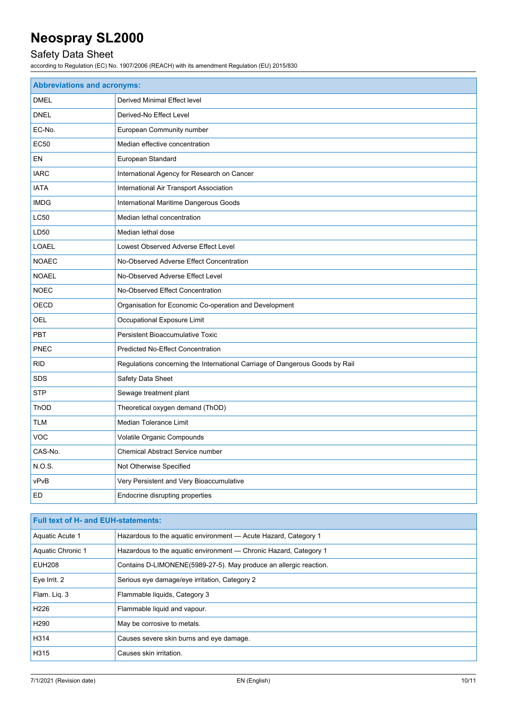## Safety Data Sheet

according to Regulation (EC) No. 1907/2006 (REACH) with its amendment Regulation (EU) 2015/830

| <b>Abbreviations and acronyms:</b> |                                                                              |  |
|------------------------------------|------------------------------------------------------------------------------|--|
| <b>DMEL</b>                        | Derived Minimal Effect level                                                 |  |
| <b>DNEL</b>                        | Derived-No Effect Level                                                      |  |
| EC-No.                             | European Community number                                                    |  |
| <b>EC50</b>                        | Median effective concentration                                               |  |
| EN                                 | European Standard                                                            |  |
| <b>IARC</b>                        | International Agency for Research on Cancer                                  |  |
| <b>IATA</b>                        | International Air Transport Association                                      |  |
| <b>IMDG</b>                        | International Maritime Dangerous Goods                                       |  |
| LC50                               | Median lethal concentration                                                  |  |
| LD50                               | Median lethal dose                                                           |  |
| <b>LOAEL</b>                       | Lowest Observed Adverse Effect Level                                         |  |
| <b>NOAEC</b>                       | No-Observed Adverse Effect Concentration                                     |  |
| <b>NOAEL</b>                       | No-Observed Adverse Effect Level                                             |  |
| <b>NOEC</b>                        | No-Observed Effect Concentration                                             |  |
| OECD                               | Organisation for Economic Co-operation and Development                       |  |
| OEL                                | Occupational Exposure Limit                                                  |  |
| <b>PBT</b>                         | Persistent Bioaccumulative Toxic                                             |  |
| PNEC                               | <b>Predicted No-Effect Concentration</b>                                     |  |
| <b>RID</b>                         | Regulations concerning the International Carriage of Dangerous Goods by Rail |  |
| <b>SDS</b>                         | Safety Data Sheet                                                            |  |
| <b>STP</b>                         | Sewage treatment plant                                                       |  |
| ThOD                               | Theoretical oxygen demand (ThOD)                                             |  |
| <b>TLM</b>                         | <b>Median Tolerance Limit</b>                                                |  |
| <b>VOC</b>                         | Volatile Organic Compounds                                                   |  |
| CAS-No.                            | <b>Chemical Abstract Service number</b>                                      |  |
| N.O.S.                             | Not Otherwise Specified                                                      |  |
| vPvB                               | Very Persistent and Very Bioaccumulative                                     |  |
| <b>ED</b>                          | Endocrine disrupting properties                                              |  |

| <b>Full text of H- and EUH-statements:</b> |                                                                   |
|--------------------------------------------|-------------------------------------------------------------------|
| Aquatic Acute 1                            | Hazardous to the aquatic environment - Acute Hazard, Category 1   |
| Aquatic Chronic 1                          | Hazardous to the aquatic environment — Chronic Hazard, Category 1 |
| <b>EUH208</b>                              | Contains D-LIMONENE(5989-27-5). May produce an allergic reaction. |
| Eye Irrit. 2                               | Serious eye damage/eye irritation, Category 2                     |
| Flam. Lig. 3                               | Flammable liquids, Category 3                                     |
| H <sub>226</sub>                           | Flammable liquid and vapour.                                      |
| H <sub>290</sub>                           | May be corrosive to metals.                                       |
| H314                                       | Causes severe skin burns and eye damage.                          |
| H315                                       | Causes skin irritation.                                           |